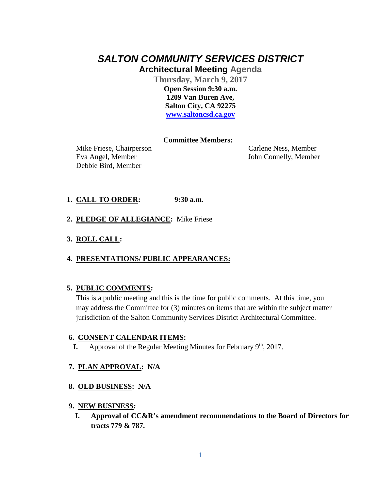# *SALTON COMMUNITY SERVICES DISTRICT* **Architectural Meeting Agenda**

**Thursday, March 9, 2017 Open Session 9:30 a.m. 1209 Van Buren Ave, Salton City, CA 92275 [www.saltoncsd.ca.gov](http://www.saltoncsd.ca.gov/)**

#### **Committee Members:**

 Mike Friese, Chairperson Carlene Ness, Member Eva Angel, Member John Connelly, Member Debbie Bird, Member

### **1. CALL TO ORDER: 9:30 a.m**.

- **2. PLEDGE OF ALLEGIANCE:** Mike Friese
- **3. ROLL CALL:**

#### **4. PRESENTATIONS/ PUBLIC APPEARANCES:**

#### **5. PUBLIC COMMENTS:**

This is a public meeting and this is the time for public comments. At this time, you may address the Committee for (3) minutes on items that are within the subject matter jurisdiction of the Salton Community Services District Architectural Committee.

#### **6. CONSENT CALENDAR ITEMS:**

**I.** Approval of the Regular Meeting Minutes for February 9<sup>th</sup>, 2017.

#### **7. PLAN APPROVAL: N/A**

#### **8. OLD BUSINESS: N/A**

#### **9. NEW BUSINESS:**

**I. Approval of CC&R's amendment recommendations to the Board of Directors for tracts 779 & 787.**